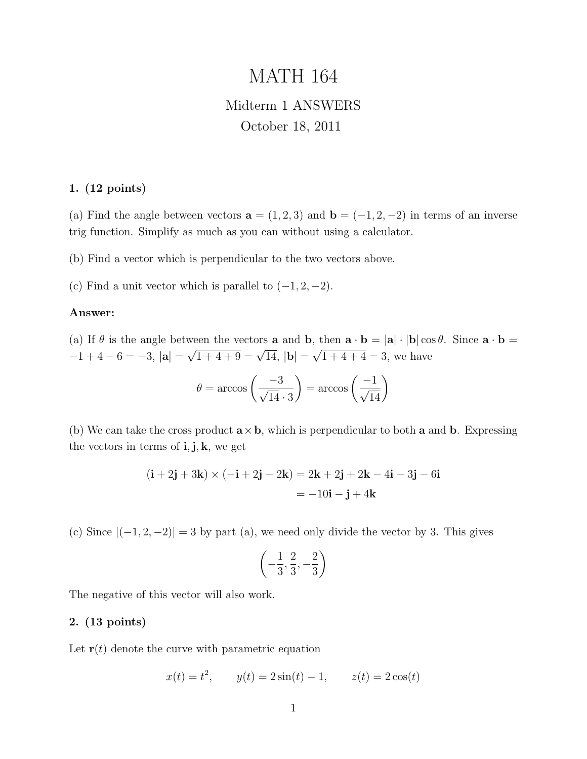# MATH 164

# Midterm 1 ANSWERS October 18, 2011

# 1. (12 points)

(a) Find the angle between vectors  $\mathbf{a} = (1, 2, 3)$  and  $\mathbf{b} = (-1, 2, -2)$  in terms of an inverse trig function. Simplify as much as you can without using a calculator.

(b) Find a vector which is perpendicular to the two vectors above.

(c) Find a unit vector which is parallel to  $(-1, 2, -2)$ .

### Answer:

(a) If  $\theta$  is the angle between the vectors **a** and **b**, then  $\mathbf{a} \cdot \mathbf{b} = |\mathbf{a}| \cdot |\mathbf{b}| \cos \theta$ . Since  $\mathbf{a} \cdot \mathbf{b} =$  $-1+4-6=-3$ ,  $|\mathbf{a}|=$  $\sqrt{1+4+9} = \sqrt{14}$ ,  $|{\bf b}| =$ √  $1 + 4 + 4 = 3$ , we have

$$
\theta = \arccos\left(\frac{-3}{\sqrt{14} \cdot 3}\right) = \arccos\left(\frac{-1}{\sqrt{14}}\right)
$$

(b) We can take the cross product  $a \times b$ , which is perpendicular to both a and b. Expressing the vectors in terms of  $\mathbf{i}, \mathbf{j}, \mathbf{k}$ , we get

$$
(\mathbf{i} + 2\mathbf{j} + 3\mathbf{k}) \times (-\mathbf{i} + 2\mathbf{j} - 2\mathbf{k}) = 2\mathbf{k} + 2\mathbf{j} + 2\mathbf{k} - 4\mathbf{i} - 3\mathbf{j} - 6\mathbf{i}
$$

$$
= -10\mathbf{i} - \mathbf{j} + 4\mathbf{k}
$$

(c) Since  $|(-1, 2, -2)| = 3$  by part (a), we need only divide the vector by 3. This gives

$$
\left(-\frac{1}{3},\frac{2}{3},-\frac{2}{3}\right)
$$

The negative of this vector will also work.

## 2. (13 points)

Let  $\mathbf{r}(t)$  denote the curve with parametric equation

$$
x(t) = t^2
$$
,  $y(t) = 2\sin(t) - 1$ ,  $z(t) = 2\cos(t)$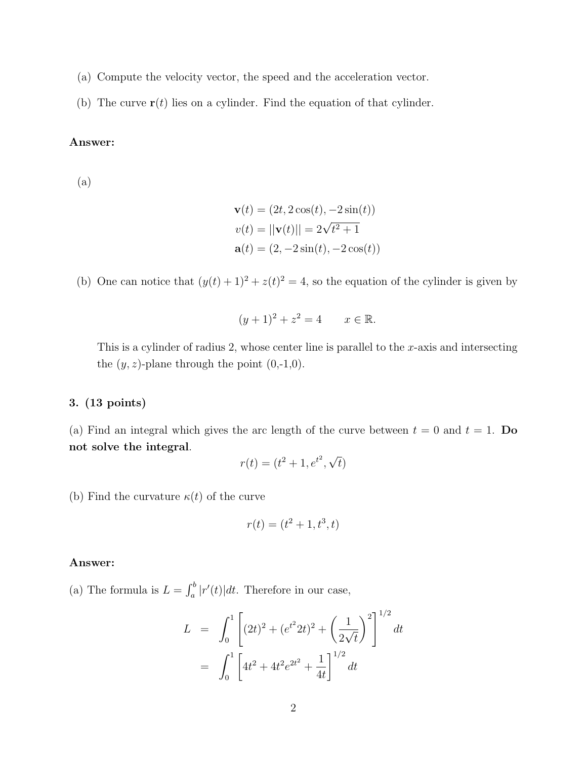- (a) Compute the velocity vector, the speed and the acceleration vector.
- (b) The curve  $\mathbf{r}(t)$  lies on a cylinder. Find the equation of that cylinder.

# Answer:

(a)

$$
\mathbf{v}(t) = (2t, 2\cos(t), -2\sin(t))
$$

$$
v(t) = ||\mathbf{v}(t)|| = 2\sqrt{t^2 + 1}
$$

$$
\mathbf{a}(t) = (2, -2\sin(t), -2\cos(t))
$$

(b) One can notice that  $(y(t) + 1)^2 + z(t)^2 = 4$ , so the equation of the cylinder is given by

$$
(y+1)^2 + z^2 = 4
$$
  $x \in \mathbb{R}$ .

This is a cylinder of radius 2, whose center line is parallel to the  $x$ -axis and intersecting the  $(y, z)$ -plane through the point  $(0, -1, 0)$ .

## 3. (13 points)

(a) Find an integral which gives the arc length of the curve between  $t = 0$  and  $t = 1$ . Do not solve the integral. √

$$
r(t) = (t^2 + 1, e^{t^2}, \sqrt{t})
$$

(b) Find the curvature  $\kappa(t)$  of the curve

$$
r(t) = (t^2 + 1, t^3, t)
$$

#### Answer:

(a) The formula is  $L = \int_a^b |r'(t)| dt$ . Therefore in our case,

$$
L = \int_0^1 \left[ (2t)^2 + (e^{t^2} 2t)^2 + \left( \frac{1}{2\sqrt{t}} \right)^2 \right]^{1/2} dt
$$
  
= 
$$
\int_0^1 \left[ 4t^2 + 4t^2 e^{2t^2} + \frac{1}{4t} \right]^{1/2} dt
$$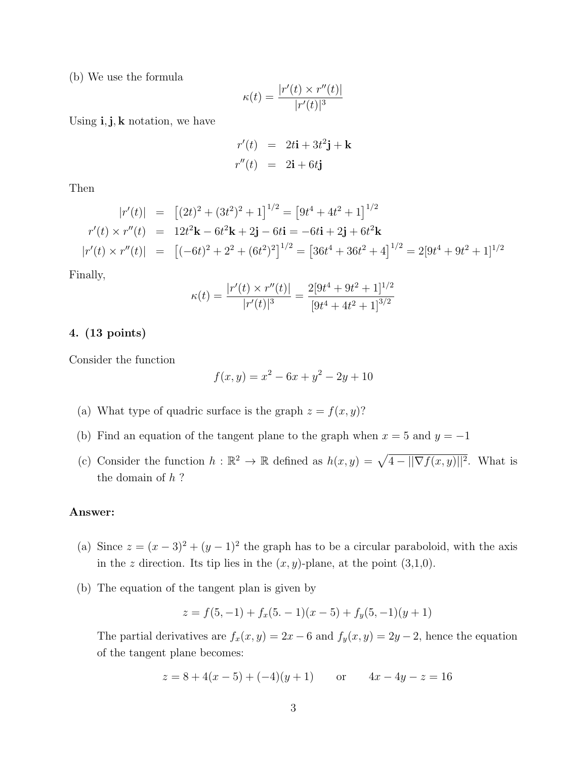(b) We use the formula

$$
\kappa(t) = \frac{|r'(t) \times r''(t)|}{|r'(t)|^3}
$$

Using  $\mathbf{i}, \mathbf{j}, \mathbf{k}$  notation, we have

$$
r'(t) = 2t\mathbf{i} + 3t^2\mathbf{j} + \mathbf{k}
$$
  

$$
r''(t) = 2\mathbf{i} + 6t\mathbf{j}
$$

Then

$$
|r'(t)| = [(2t)^2 + (3t^2)^2 + 1]^{1/2} = [9t^4 + 4t^2 + 1]^{1/2}
$$
  
\n
$$
r'(t) \times r''(t) = 12t^2 \mathbf{k} - 6t^2 \mathbf{k} + 2\mathbf{j} - 6t\mathbf{i} = -6t\mathbf{i} + 2\mathbf{j} + 6t^2 \mathbf{k}
$$
  
\n
$$
|r'(t) \times r''(t)| = [(-6t)^2 + 2^2 + (6t^2)^2]^{1/2} = [36t^4 + 36t^2 + 4]^{1/2} = 2[9t^4 + 9t^2 + 1]^{1/2}
$$

Finally,

$$
\kappa(t) = \frac{|r'(t) \times r''(t)|}{|r'(t)|^3} = \frac{2[9t^4 + 9t^2 + 1]^{1/2}}{[9t^4 + 4t^2 + 1]^{3/2}}
$$

#### 4. (13 points)

Consider the function

$$
f(x,y) = x^2 - 6x + y^2 - 2y + 10
$$

- (a) What type of quadric surface is the graph  $z = f(x, y)$ ?
- (b) Find an equation of the tangent plane to the graph when  $x = 5$  and  $y = -1$
- (c) Consider the function  $h : \mathbb{R}^2 \to \mathbb{R}$  defined as  $h(x, y) = \sqrt{4 ||\nabla f(x, y)||^2}$ . What is the domain of h ?

# Answer:

- (a) Since  $z = (x-3)^2 + (y-1)^2$  the graph has to be a circular paraboloid, with the axis in the z direction. Its tip lies in the  $(x, y)$ -plane, at the point  $(3,1,0)$ .
- (b) The equation of the tangent plan is given by

$$
z = f(5, -1) + f_x(5, -1)(x - 5) + f_y(5, -1)(y + 1)
$$

The partial derivatives are  $f_x(x, y) = 2x - 6$  and  $f_y(x, y) = 2y - 2$ , hence the equation of the tangent plane becomes:

$$
z = 8 + 4(x - 5) + (-4)(y + 1)
$$
 or  $4x - 4y - z = 16$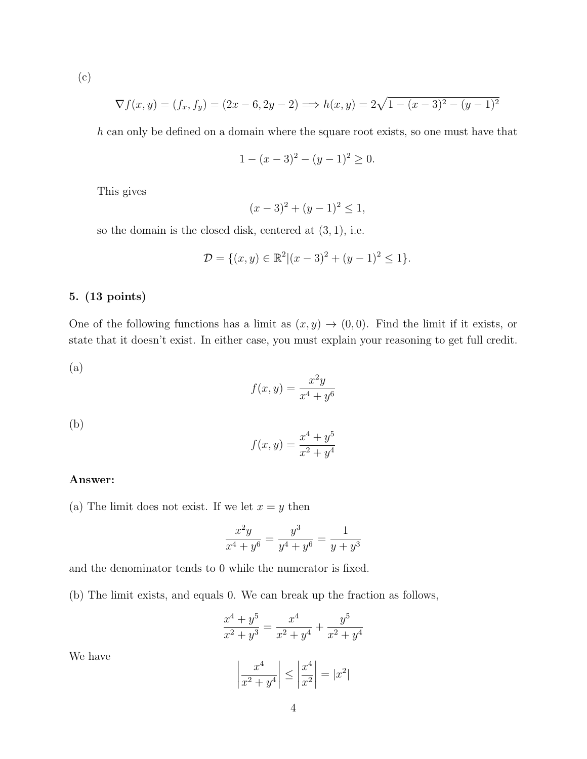(c)

$$
\nabla f(x, y) = (f_x, f_y) = (2x - 6, 2y - 2) \Longrightarrow h(x, y) = 2\sqrt{1 - (x - 3)^2 - (y - 1)^2}
$$

h can only be defined on a domain where the square root exists, so one must have that

$$
1 - (x - 3)^2 - (y - 1)^2 \ge 0.
$$

This gives

$$
(x-3)^2 + (y-1)^2 \le 1,
$$

so the domain is the closed disk, centered at  $(3, 1)$ , i.e.

$$
\mathcal{D} = \{(x, y) \in \mathbb{R}^2 | (x - 3)^2 + (y - 1)^2 \le 1 \}.
$$

# 5. (13 points)

One of the following functions has a limit as  $(x, y) \rightarrow (0, 0)$ . Find the limit if it exists, or state that it doesn't exist. In either case, you must explain your reasoning to get full credit.

(a)

$$
f(x,y) = \frac{x^2y}{x^4 + y^6}
$$

(b)

$$
f(x,y) = \frac{x^4 + y^5}{x^2 + y^4}
$$

## Answer:

(a) The limit does not exist. If we let  $x = y$  then

$$
\frac{x^2y}{x^4 + y^6} = \frac{y^3}{y^4 + y^6} = \frac{1}{y + y^3}
$$

and the denominator tends to 0 while the numerator is fixed.

(b) The limit exists, and equals 0. We can break up the fraction as follows,

$$
\frac{x^4 + y^5}{x^2 + y^3} = \frac{x^4}{x^2 + y^4} + \frac{y^5}{x^2 + y^4}
$$

We have

$$
\left|\frac{x^4}{x^2 + y^4}\right| \le \left|\frac{x^4}{x^2}\right| = |x^2|
$$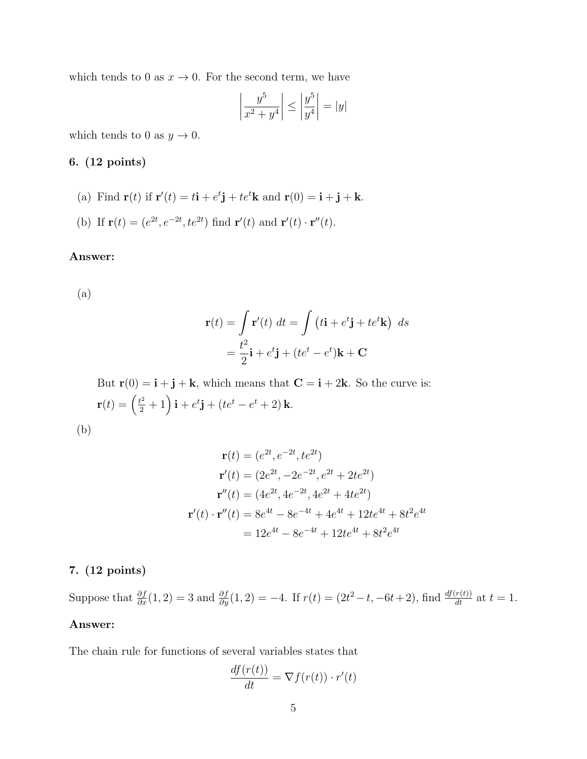which tends to 0 as  $x \to 0$ . For the second term, we have

$$
\left|\frac{y^5}{x^2+y^4}\right| \le \left|\frac{y^5}{y^4}\right| = |y|
$$

which tends to 0 as  $y \to 0$ .

# 6. (12 points)

- (a) Find  $\mathbf{r}(t)$  if  $\mathbf{r}'(t) = t\mathbf{i} + e^t\mathbf{j} + te^t\mathbf{k}$  and  $\mathbf{r}(0) = \mathbf{i} + \mathbf{j} + \mathbf{k}$ .
- (b) If  $\mathbf{r}(t) = (e^{2t}, e^{-2t}, te^{2t})$  find  $\mathbf{r}'(t)$  and  $\mathbf{r}'(t) \cdot \mathbf{r}''(t)$ .

# Answer:

(a)

$$
\mathbf{r}(t) = \int \mathbf{r}'(t) dt = \int (t\mathbf{i} + e^t \mathbf{j} + te^t \mathbf{k}) ds
$$

$$
= \frac{t^2}{2}\mathbf{i} + e^t \mathbf{j} + (te^t - e^t)\mathbf{k} + \mathbf{C}
$$

But  $\mathbf{r}(0) = \mathbf{i} + \mathbf{j} + \mathbf{k}$ , which means that  $\mathbf{C} = \mathbf{i} + 2\mathbf{k}$ . So the curve is:  ${\bf r}(t)=\left(\frac{t^2}{2}+1\right){\bf i}+e^t{\bf j}+(te^t-e^t+2)\,{\bf k}.$ (b)

$$
\mathbf{r}(t) = (e^{2t}, e^{-2t}, te^{2t})
$$
  
\n
$$
\mathbf{r}'(t) = (2e^{2t}, -2e^{-2t}, e^{2t} + 2te^{2t})
$$
  
\n
$$
\mathbf{r}''(t) = (4e^{2t}, 4e^{-2t}, 4e^{2t} + 4te^{2t})
$$
  
\n
$$
\mathbf{r}'(t) \cdot \mathbf{r}''(t) = 8e^{4t} - 8e^{-4t} + 4e^{4t} + 12te^{4t} + 8t^2e^{4t}
$$
  
\n
$$
= 12e^{4t} - 8e^{-4t} + 12te^{4t} + 8t^2e^{4t}
$$

# 7. (12 points)

Suppose that  $\frac{\partial f}{\partial x}(1,2) = 3$  and  $\frac{\partial f}{\partial y}(1,2) = -4$ . If  $r(t) = (2t^2 - t, -6t + 2)$ , find  $\frac{df(r(t))}{dt}$  at  $t = 1$ .

# Answer:

The chain rule for functions of several variables states that

$$
\frac{df(r(t))}{dt} = \nabla f(r(t)) \cdot r'(t)
$$